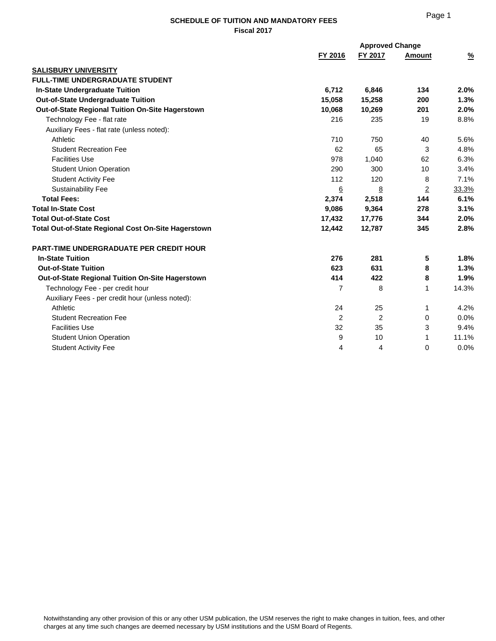## **SCHEDULE OF TUITION AND MANDATORY FEES Fiscal 2017**

|                                                         |                  | <b>Approved Change</b> |                |               |
|---------------------------------------------------------|------------------|------------------------|----------------|---------------|
|                                                         | FY 2016          | FY 2017                | <b>Amount</b>  | $\frac{9}{6}$ |
| <b>SALISBURY UNIVERSITY</b>                             |                  |                        |                |               |
| <b>FULL-TIME UNDERGRADUATE STUDENT</b>                  |                  |                        |                |               |
| In-State Undergraduate Tuition                          | 6,712            | 6,846                  | 134            | 2.0%          |
| <b>Out-of-State Undergraduate Tuition</b>               | 15,058           | 15,258                 | 200            | 1.3%          |
| Out-of-State Regional Tuition On-Site Hagerstown        | 10,068           | 10,269                 | 201            | 2.0%          |
| Technology Fee - flat rate                              | 216              | 235                    | 19             | 8.8%          |
| Auxiliary Fees - flat rate (unless noted):              |                  |                        |                |               |
| Athletic                                                | 710              | 750                    | 40             | 5.6%          |
| <b>Student Recreation Fee</b>                           | 62               | 65                     | 3              | 4.8%          |
| <b>Facilities Use</b>                                   | 978              | 1,040                  | 62             | 6.3%          |
| <b>Student Union Operation</b>                          | 290              | 300                    | 10             | 3.4%          |
| <b>Student Activity Fee</b>                             | 112              | 120                    | 8              | 7.1%          |
| <b>Sustainability Fee</b>                               | $6 \overline{6}$ | 8                      | $\overline{2}$ | 33.3%         |
| <b>Total Fees:</b>                                      | 2,374            | 2,518                  | 144            | 6.1%          |
| <b>Total In-State Cost</b>                              | 9,086            | 9,364                  | 278            | 3.1%          |
| <b>Total Out-of-State Cost</b>                          | 17,432           | 17,776                 | 344            | 2.0%          |
| Total Out-of-State Regional Cost On-Site Hagerstown     | 12,442           | 12,787                 | 345            | 2.8%          |
| <b>PART-TIME UNDERGRADUATE PER CREDIT HOUR</b>          |                  |                        |                |               |
| <b>In-State Tuition</b>                                 | 276              | 281                    | 5              | 1.8%          |
| <b>Out-of-State Tuition</b>                             | 623              | 631                    | 8              | 1.3%          |
| <b>Out-of-State Regional Tuition On-Site Hagerstown</b> | 414              | 422                    | 8              | 1.9%          |
| Technology Fee - per credit hour                        | 7                | 8                      | 1              | 14.3%         |
| Auxiliary Fees - per credit hour (unless noted):        |                  |                        |                |               |
| Athletic                                                | 24               | 25                     | 1              | 4.2%          |
| <b>Student Recreation Fee</b>                           | $\overline{2}$   | 2                      | 0              | 0.0%          |
| <b>Facilities Use</b>                                   | 32               | 35                     | 3              | 9.4%          |
| <b>Student Union Operation</b>                          | 9                | 10                     | 1              | 11.1%         |
| <b>Student Activity Fee</b>                             | 4                | 4                      | 0              | 0.0%          |